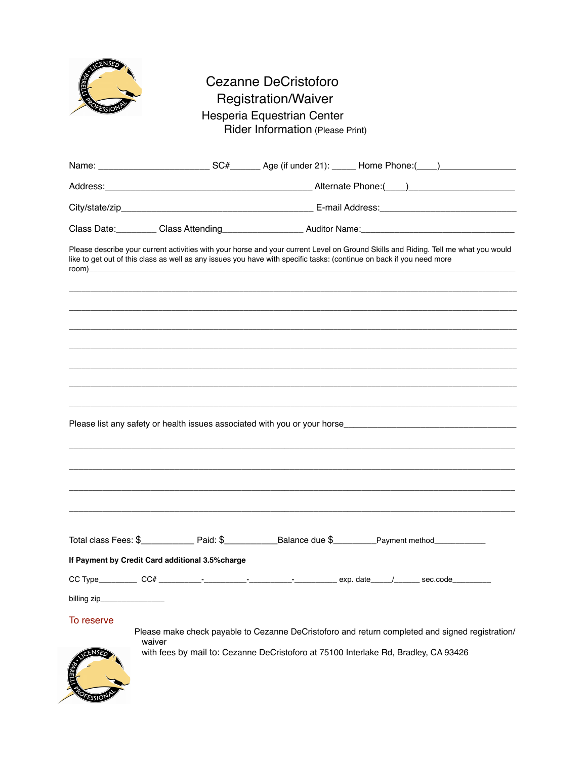

## Cezanne DeCristoforo Registration/Waiver Hesperia Equestrian Center Rider Information (Please Print)

|                                                  |        |  |  | Please describe your current activities with your horse and your current Level on Ground Skills and Riding. Tell me what you would<br>like to get out of this class as well as any issues you have with specific tasks: (continue on back if you need more |  |
|--------------------------------------------------|--------|--|--|------------------------------------------------------------------------------------------------------------------------------------------------------------------------------------------------------------------------------------------------------------|--|
|                                                  |        |  |  |                                                                                                                                                                                                                                                            |  |
|                                                  |        |  |  |                                                                                                                                                                                                                                                            |  |
|                                                  |        |  |  |                                                                                                                                                                                                                                                            |  |
|                                                  |        |  |  |                                                                                                                                                                                                                                                            |  |
|                                                  |        |  |  |                                                                                                                                                                                                                                                            |  |
|                                                  |        |  |  |                                                                                                                                                                                                                                                            |  |
|                                                  |        |  |  |                                                                                                                                                                                                                                                            |  |
|                                                  |        |  |  | Total class Fees: $\$\$ Paid: $\$\$ Balance due $\$\$ Payment method                                                                                                                                                                                       |  |
| If Payment by Credit Card additional 3.5% charge |        |  |  |                                                                                                                                                                                                                                                            |  |
|                                                  |        |  |  |                                                                                                                                                                                                                                                            |  |
| billing zip_                                     |        |  |  |                                                                                                                                                                                                                                                            |  |
| To reserve                                       | waiver |  |  | Please make check payable to Cezanne DeCristoforo and return completed and signed registration/<br>with fees by mail to: Cezanne DeCristoforo at 75100 Interlake Rd, Bradley, CA 93426                                                                     |  |
|                                                  |        |  |  |                                                                                                                                                                                                                                                            |  |